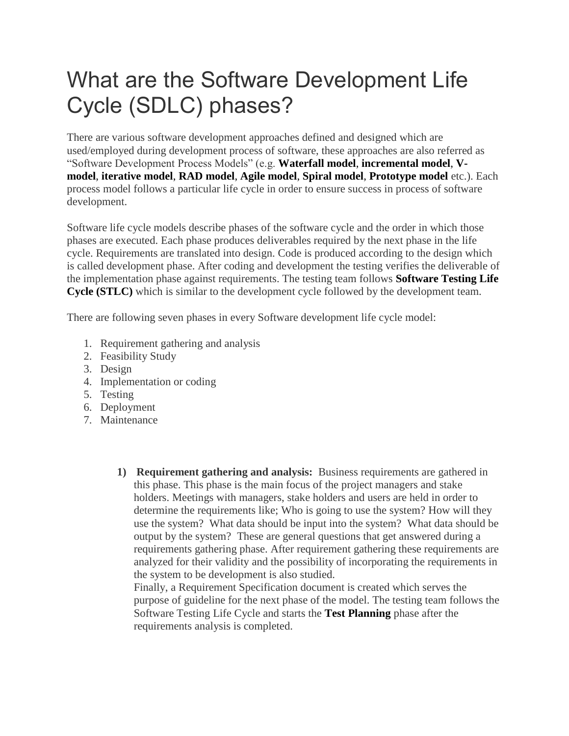## What are the Software Development Life Cycle (SDLC) phases?

There are various software development approaches defined and designed which are used/employed during development process of software, these approaches are also referred as "Software Development Process Models" (e.g. **[Waterfall model](http://istqbexamcertification.com/what-is-waterfall-model-advantages-disadvantages-and-when-to-use-it/)**, **[incremental model](http://istqbexamcertification.com/what-is-incremental-model-advantages-disadvantages-and-when-to-use-it/)**, **[V](http://istqbexamcertification.com/what-is-v-model-advantages-disadvantages-and-when-to-use-it/)[model](http://istqbexamcertification.com/what-is-v-model-advantages-disadvantages-and-when-to-use-it/)**, **[iterative model](http://istqbexamcertification.com/what-is-iterative-model-advantages-disadvantages-and-when-to-use-it/)**, **[RAD model](http://istqbexamcertification.com/what-is-rad-model-advantages-disadvantages-and-when-to-use-it/)**, **[Agile model](http://istqbexamcertification.com/what-is-agile-model-advantages-disadvantages-and-when-to-use-it/)**, **[Spiral model](http://istqbexamcertification.com/what-is-spiral-model-advantages-disadvantages-and-when-to-use-it/)**, **[Prototype model](http://istqbexamcertification.com/what-is-prototype-model-advantages-disadvantages-and-when-to-use-it/)** etc.). Each process model follows a particular life cycle in order to ensure success in process of software development.

Software life cycle models describe phases of the software cycle and the order in which those phases are executed. Each phase produces deliverables required by the next phase in the life cycle. Requirements are translated into design. Code is produced according to the design which is called development phase. After coding and development the testing verifies the deliverable of the implementation phase against requirements. The testing team follows **[Software Testing Life](http://istqbexamcertification.com/what-is-software-testing-life-cycle-stlc/)  [Cycle \(STLC\)](http://istqbexamcertification.com/what-is-software-testing-life-cycle-stlc/)** which is similar to the development cycle followed by the development team.

There are following seven phases in every Software development life cycle model:

- 1. Requirement gathering and analysis
- 2. Feasibility Study
- 3. Design
- 4. Implementation or coding
- 5. Testing
- 6. Deployment
- 7. Maintenance
	- **1) Requirement gathering and analysis:** Business requirements are gathered in this phase. This phase is the main focus of the project managers and stake holders. Meetings with managers, stake holders and users are held in order to determine the requirements like; Who is going to use the system? How will they use the system? What data should be input into the system? What data should be output by the system? These are general questions that get answered during a requirements gathering phase. After requirement gathering these requirements are analyzed for their validity and the possibility of incorporating the requirements in the system to be development is also studied.

Finally, a Requirement Specification document is created which serves the purpose of guideline for the next phase of the model. The testing team follows the Software Testing Life Cycle and starts the **[Test Planning](http://istqbexamcertification.com/what-is-the-purpose-and-importance-of-test-plans/)** phase after the requirements analysis is completed.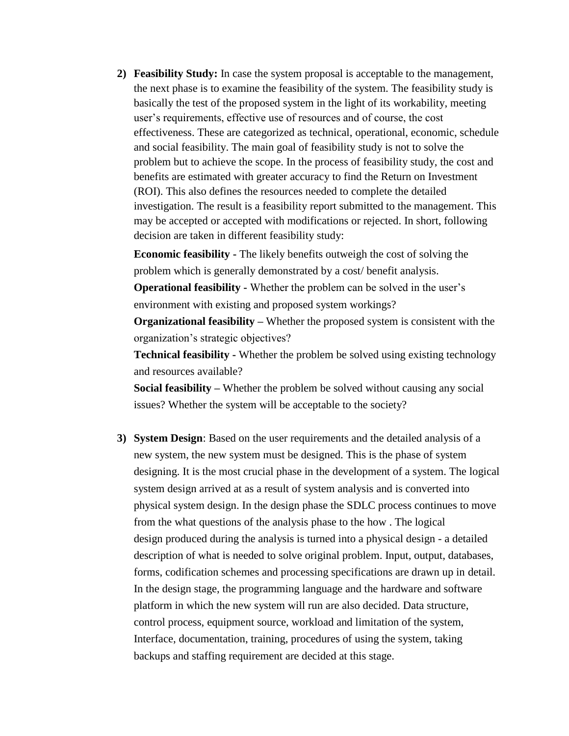**2) Feasibility Study:** In case the system proposal is acceptable to the management, the next phase is to examine the feasibility of the system. The feasibility study is basically the test of the proposed system in the light of its workability, meeting user's requirements, effective use of resources and of course, the cost effectiveness. These are categorized as technical, operational, economic, schedule and social feasibility. The main goal of feasibility study is not to solve the problem but to achieve the scope. In the process of feasibility study, the cost and benefits are estimated with greater accuracy to find the Return on Investment (ROI). This also defines the resources needed to complete the detailed investigation. The result is a feasibility report submitted to the management. This may be accepted or accepted with modifications or rejected. In short, following decision are taken in different feasibility study:

**Economic feasibility -** The likely benefits outweigh the cost of solving the problem which is generally demonstrated by a cost/ benefit analysis.

**Operational feasibility -** Whether the problem can be solved in the user's environment with existing and proposed system workings?

**Organizational feasibility –** Whether the proposed system is consistent with the organization's strategic objectives?

**Technical feasibility -** Whether the problem be solved using existing technology and resources available?

**Social feasibility –** Whether the problem be solved without causing any social issues? Whether the system will be acceptable to the society?

**3) System Design**: Based on the user requirements and the detailed analysis of a new system, the new system must be designed. This is the phase of system designing. It is the most crucial phase in the development of a system. The logical system design arrived at as a result of system analysis and is converted into physical system design. In the design phase the SDLC process continues to move from the what questions of the analysis phase to the how . The logical design produced during the analysis is turned into a physical design - a detailed description of what is needed to solve original problem. Input, output, databases, forms, codification schemes and processing specifications are drawn up in detail. In the design stage, the programming language and the hardware and software platform in which the new system will run are also decided. Data structure, control process, equipment source, workload and limitation of the system, Interface, documentation, training, procedures of using the system, taking backups and staffing requirement are decided at this stage.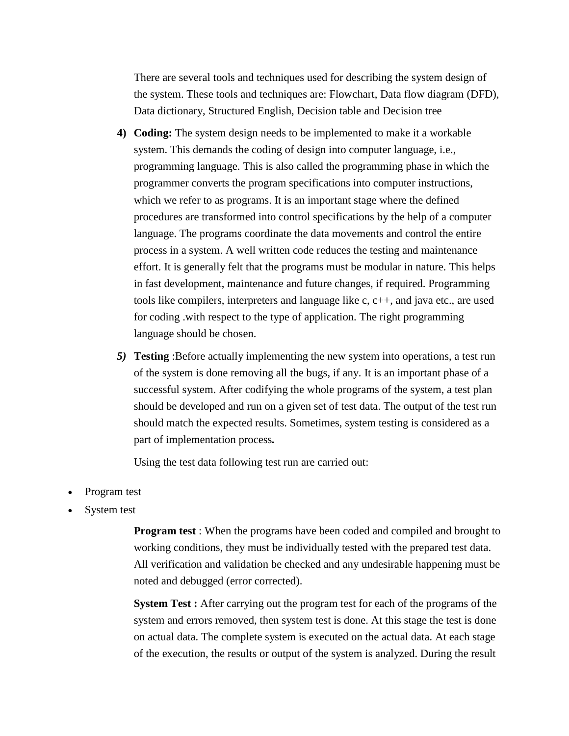There are several tools and techniques used for describing the system design of the system. These tools and techniques are: Flowchart, Data flow diagram (DFD), Data dictionary, Structured English, Decision table and Decision tree

- **4) Coding:** The system design needs to be implemented to make it a workable system. This demands the coding of design into computer language, i.e., programming language. This is also called the programming phase in which the programmer converts the program specifications into computer instructions, which we refer to as programs. It is an important stage where the defined procedures are transformed into control specifications by the help of a computer language. The programs coordinate the data movements and control the entire process in a system. A well written code reduces the testing and maintenance effort. It is generally felt that the programs must be modular in nature. This helps in fast development, maintenance and future changes, if required. Programming tools like compilers, interpreters and language like  $c, c++,$  and java etc., are used for coding .with respect to the type of application. The right programming language should be chosen.
- *5)* **Testing** :Before actually implementing the new system into operations, a test run of the system is done removing all the bugs, if any. It is an important phase of a successful system. After codifying the whole programs of the system, a test plan should be developed and run on a given set of test data. The output of the test run should match the expected results. Sometimes, system testing is considered as a part of implementation process*.*

Using the test data following test run are carried out:

- Program test
- System test

**Program test** : When the programs have been coded and compiled and brought to working conditions, they must be individually tested with the prepared test data. All verification and validation be checked and any undesirable happening must be noted and debugged (error corrected).

**System Test :** After carrying out the program test for each of the programs of the system and errors removed, then system test is done. At this stage the test is done on actual data. The complete system is executed on the actual data. At each stage of the execution, the results or output of the system is analyzed. During the result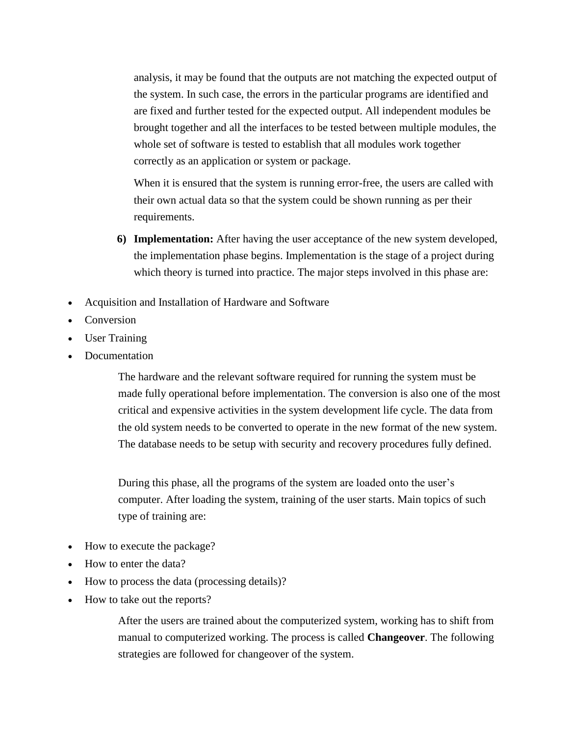analysis, it may be found that the outputs are not matching the expected output of the system. In such case, the errors in the particular programs are identified and are fixed and further tested for the expected output. All independent modules be brought together and all the interfaces to be tested between multiple modules, the whole set of software is tested to establish that all modules work together correctly as an application or system or package.

When it is ensured that the system is running error-free, the users are called with their own actual data so that the system could be shown running as per their requirements.

- **6) Implementation:** After having the user acceptance of the new system developed, the implementation phase begins. Implementation is the stage of a project during which theory is turned into practice. The major steps involved in this phase are:
- Acquisition and Installation of Hardware and Software
- Conversion
- User Training
- Documentation

The hardware and the relevant software required for running the system must be made fully operational before implementation. The conversion is also one of the most critical and expensive activities in the system development life cycle. The data from the old system needs to be converted to operate in the new format of the new system. The database needs to be setup with security and recovery procedures fully defined.

During this phase, all the programs of the system are loaded onto the user's computer. After loading the system, training of the user starts. Main topics of such type of training are:

- How to execute the package?
- How to enter the data?
- How to process the data (processing details)?
- How to take out the reports?

After the users are trained about the computerized system, working has to shift from manual to computerized working. The process is called **Changeover**. The following strategies are followed for changeover of the system.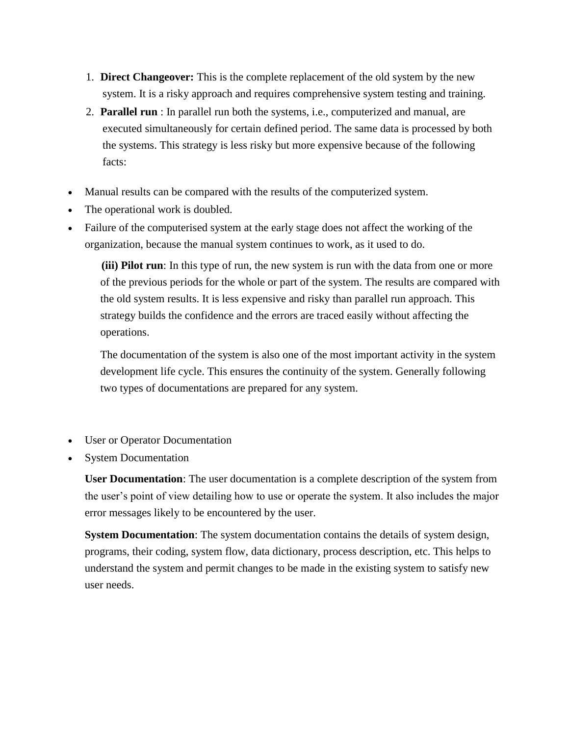- 1. **Direct Changeover:** This is the complete replacement of the old system by the new system. It is a risky approach and requires comprehensive system testing and training.
- 2. **Parallel run** : In parallel run both the systems, i.e., computerized and manual, are executed simultaneously for certain defined period. The same data is processed by both the systems. This strategy is less risky but more expensive because of the following facts:
- Manual results can be compared with the results of the computerized system.
- The operational work is doubled.
- Failure of the computerised system at the early stage does not affect the working of the organization, because the manual system continues to work, as it used to do.

**(iii) Pilot run**: In this type of run, the new system is run with the data from one or more of the previous periods for the whole or part of the system. The results are compared with the old system results. It is less expensive and risky than parallel run approach. This strategy builds the confidence and the errors are traced easily without affecting the operations.

The documentation of the system is also one of the most important activity in the system development life cycle. This ensures the continuity of the system. Generally following two types of documentations are prepared for any system.

- User or Operator Documentation
- System Documentation

**User Documentation**: The user documentation is a complete description of the system from the user's point of view detailing how to use or operate the system. It also includes the major error messages likely to be encountered by the user.

**System Documentation**: The system documentation contains the details of system design, programs, their coding, system flow, data dictionary, process description, etc. This helps to understand the system and permit changes to be made in the existing system to satisfy new user needs.